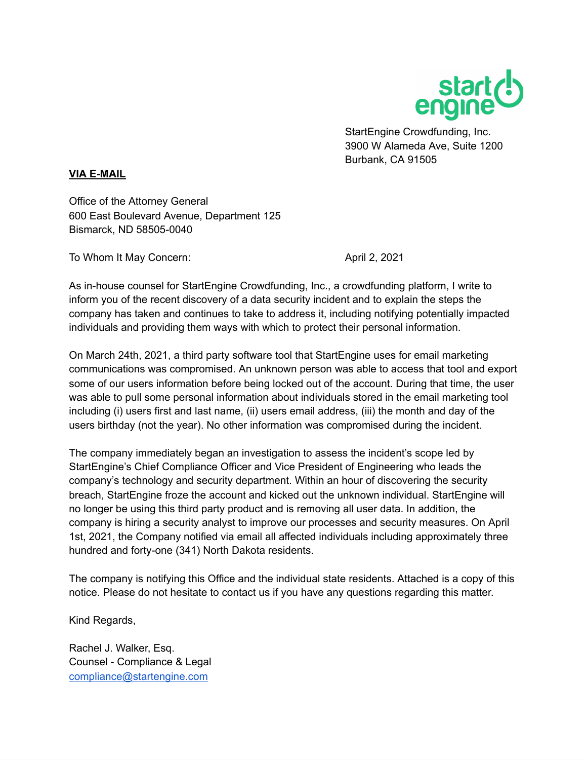

StartEngine Crowdfunding, Inc. 3900 W Alameda Ave, Suite 1200 Burbank, CA 91505

## **VIA E-MAIL**

Office of the Attorney General 600 East Boulevard Avenue, Department 125 Bismarck, ND 58505-0040

To Whom It May Concern: April 2, 2021

As in-house counsel for StartEngine Crowdfunding, Inc., a crowdfunding platform, I write to inform you of the recent discovery of a data security incident and to explain the steps the company has taken and continues to take to address it, including notifying potentially impacted individuals and providing them ways with which to protect their personal information.

On March 24th, 2021, a third party software tool that StartEngine uses for email marketing communications was compromised. An unknown person was able to access that tool and export some of our users information before being locked out of the account. During that time, the user was able to pull some personal information about individuals stored in the email marketing tool including (i) users first and last name, (ii) users email address, (iii) the month and day of the users birthday (not the year). No other information was compromised during the incident.

The company immediately began an investigation to assess the incident's scope led by StartEngine's Chief Compliance Officer and Vice President of Engineering who leads the company's technology and security department. Within an hour of discovering the security breach, StartEngine froze the account and kicked out the unknown individual. StartEngine will no longer be using this third party product and is removing all user data. In addition, the company is hiring a security analyst to improve our processes and security measures. On April 1st, 2021, the Company notified via email all affected individuals including approximately three hundred and forty-one (341) North Dakota residents.

The company is notifying this Office and the individual state residents. Attached is a copy of this notice. Please do not hesitate to contact us if you have any questions regarding this matter.

Kind Regards,

Rachel J. Walker, Esq. Counsel - Compliance & Legal [compliance@startengine.com](mailto:compliance@startengine.com)